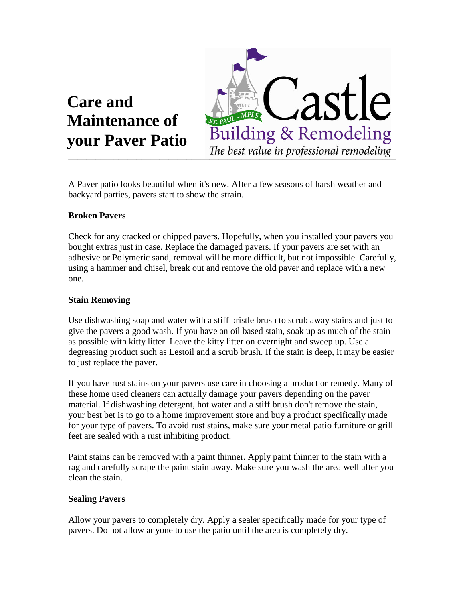



A Paver patio looks beautiful when it's new. After a few seasons of harsh weather and backyard parties, pavers start to show the strain.

## **Broken Pavers**

Check for any cracked or chipped pavers. Hopefully, when you installed your pavers you bought extras just in case. Replace the damaged pavers. If your pavers are set with an adhesive or Polymeric sand, removal will be more difficult, but not impossible. Carefully, using a hammer and chisel, break out and remove the old paver and replace with a new one.

## **Stain Removing**

Use dishwashing soap and water with a stiff bristle brush to scrub away stains and just to give the pavers a good wash. If you have an oil based stain, soak up as much of the stain as possible with kitty litter. Leave the kitty litter on overnight and sweep up. Use a degreasing product such as Lestoil and a scrub brush. If the stain is deep, it may be easier to just replace the paver.

If you have rust stains on your pavers use care in choosing a product or remedy. Many of these home used cleaners can actually damage your pavers depending on the paver material. If dishwashing detergent, hot water and a stiff brush don't remove the stain, your best bet is to go to a home improvement store and buy a product specifically made for your type of pavers. To avoid rust stains, make sure your metal patio furniture or grill feet are sealed with a rust inhibiting product.

Paint stains can be removed with a paint thinner. Apply paint thinner to the stain with a rag and carefully scrape the paint stain away. Make sure you wash the area well after you clean the stain.

## **Sealing Pavers**

Allow your pavers to completely dry. Apply a sealer specifically made for your type of pavers. Do not allow anyone to use the patio until the area is completely dry.